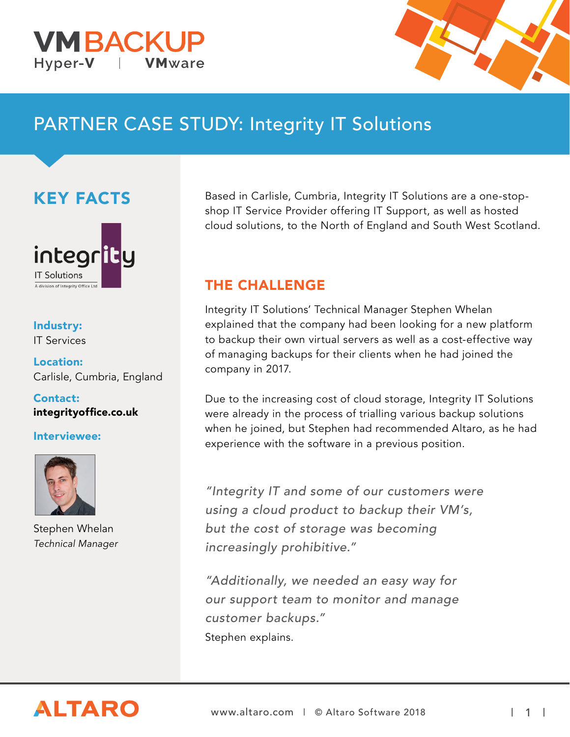



# PARTNER CASE STUDY: Integrity IT Solutions

KEY FACTS



Industry: IT Services

Location: Carlisle, Cumbria, England

Contact: [integrityoffice.co.uk](http://integrityoffice.co.uk)

#### Interviewee:



Stephen Whelan *Technical Manager*

Based in Carlisle, Cumbria, Integrity IT Solutions are a one-stopshop IT Service Provider offering IT Support, as well as hosted cloud solutions, to the North of England and South West Scotland.

#### THE CHALLENGE

Integrity IT Solutions' Technical Manager Stephen Whelan explained that the company had been looking for a new platform to backup their own virtual servers as well as a cost-effective way of managing backups for their clients when he had joined the company in 2017.

Due to the increasing cost of cloud storage, Integrity IT Solutions were already in the process of trialling various backup solutions when he joined, but Stephen had recommended Altaro, as he had experience with the software in a previous position.

"Integrity IT and some of our customers were using a cloud product to backup their VM's, but the cost of storage was becoming increasingly prohibitive."

"Additionally, we needed an easy way for our support team to monitor and manage customer backups." Stephen explains.